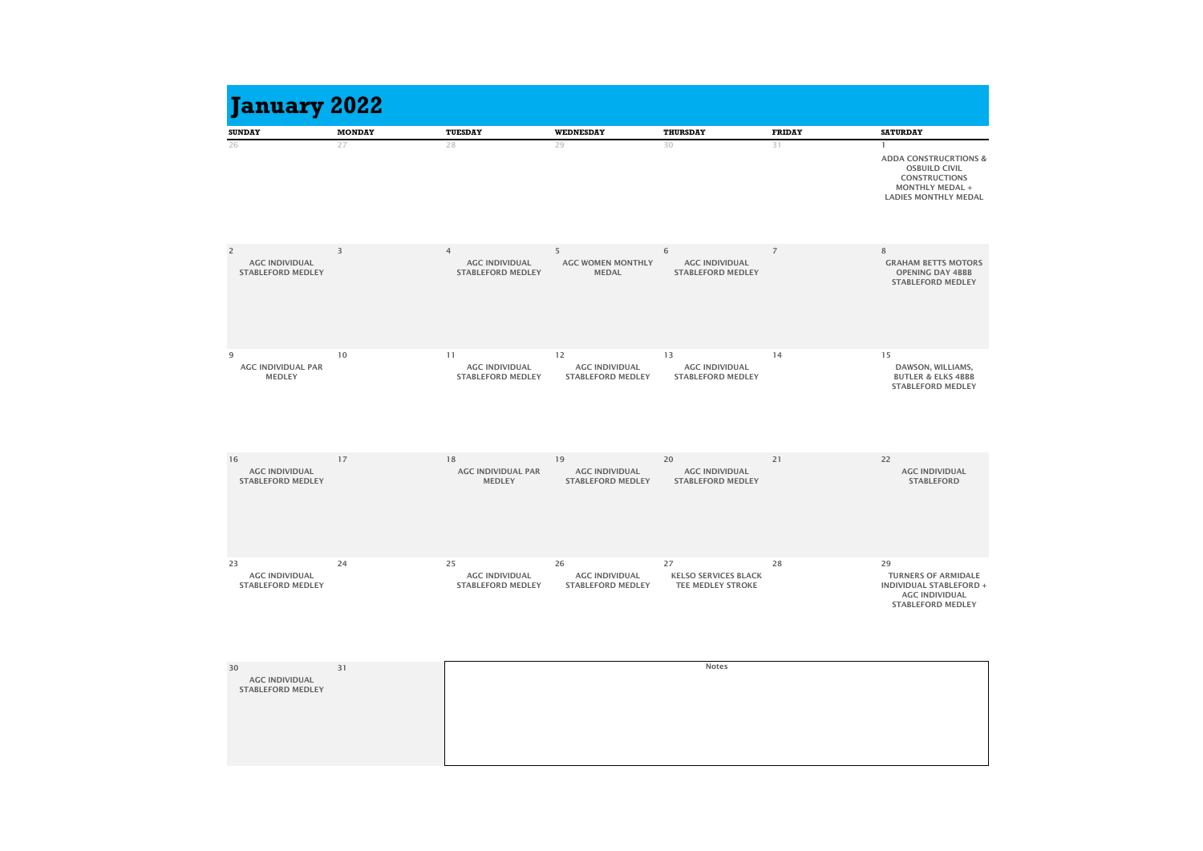| <b>January 2022</b>                                                 |               |                                                                     |                                                         |                                                               |                |                                                                                                                                           |
|---------------------------------------------------------------------|---------------|---------------------------------------------------------------------|---------------------------------------------------------|---------------------------------------------------------------|----------------|-------------------------------------------------------------------------------------------------------------------------------------------|
| <b>SUNDAY</b>                                                       | <b>MONDAY</b> | <b>TUESDAY</b>                                                      | <b>WEDNESDAY</b>                                        | <b>THURSDAY</b>                                               | <b>FRIDAY</b>  | <b>SATURDAY</b>                                                                                                                           |
| 26                                                                  | 27            | 28                                                                  | 29                                                      | 30                                                            | 31             | <b>ADDA CONSTRUCRTIONS &amp;</b><br><b>OSBUILD CIVIL</b><br><b>CONSTRUCTIONS</b><br><b>MONTHLY MEDAL +</b><br><b>LADIES MONTHLY MEDAL</b> |
| $\overline{2}$<br><b>AGC INDIVIDUAL</b><br><b>STABLEFORD MEDLEY</b> | 3             | $\overline{4}$<br><b>AGC INDIVIDUAL</b><br><b>STABLEFORD MEDLEY</b> | 5<br><b>AGC WOMEN MONTHLY</b><br><b>MEDAL</b>           | 6<br><b>AGC INDIVIDUAL</b><br><b>STABLEFORD MEDLEY</b>        | $\overline{7}$ | 8<br><b>GRAHAM BETTS MOTORS</b><br><b>OPENING DAY 4BBB</b><br><b>STABLEFORD MEDLEY</b>                                                    |
| 9<br><b>AGC INDIVIDUAL PAR</b><br><b>MEDLEY</b>                     | 10            | 11<br><b>AGC INDIVIDUAL</b><br><b>STABLEFORD MEDLEY</b>             | 12<br><b>AGC INDIVIDUAL</b><br><b>STABLEFORD MEDLEY</b> | 13<br><b>AGC INDIVIDUAL</b><br><b>STABLEFORD MEDLEY</b>       | 14             | 15<br>DAWSON, WILLIAMS,<br><b>BUTLER &amp; ELKS 4BBB</b><br><b>STABLEFORD MEDLEY</b>                                                      |
| 16<br><b>AGC INDIVIDUAL</b><br><b>STABLEFORD MEDLEY</b>             | 17            | 18<br><b>AGC INDIVIDUAL PAR</b><br><b>MEDLEY</b>                    | 19<br><b>AGC INDIVIDUAL</b><br><b>STABLEFORD MEDLEY</b> | 20<br><b>AGC INDIVIDUAL</b><br><b>STABLEFORD MEDLEY</b>       | 21             | 22<br><b>AGC INDIVIDUAL</b><br><b>STABLEFORD</b>                                                                                          |
| 23<br><b>AGC INDIVIDUAL</b><br><b>STABLEFORD MEDLEY</b>             | 24            | 25<br><b>AGC INDIVIDUAL</b><br><b>STABLEFORD MEDLEY</b>             | 26<br><b>AGC INDIVIDUAL</b><br><b>STABLEFORD MEDLEY</b> | 27<br><b>KELSO SERVICES BLACK</b><br><b>TEE MEDLEY STROKE</b> | 28             | 29<br><b>TURNERS OF ARMIDALE</b><br><b>INDIVIDUAL STABLEFORD +</b><br><b>AGC INDIVIDUAL</b><br><b>STABLEFORD MEDLEY</b>                   |
| 30                                                                  | 31            |                                                                     |                                                         | <b>Notes</b>                                                  |                |                                                                                                                                           |

| 30                                                | 31 |  |
|---------------------------------------------------|----|--|
| <b>AGC INDIVIDUAL</b><br><b>STABLEFORD MEDLEY</b> |    |  |
|                                                   |    |  |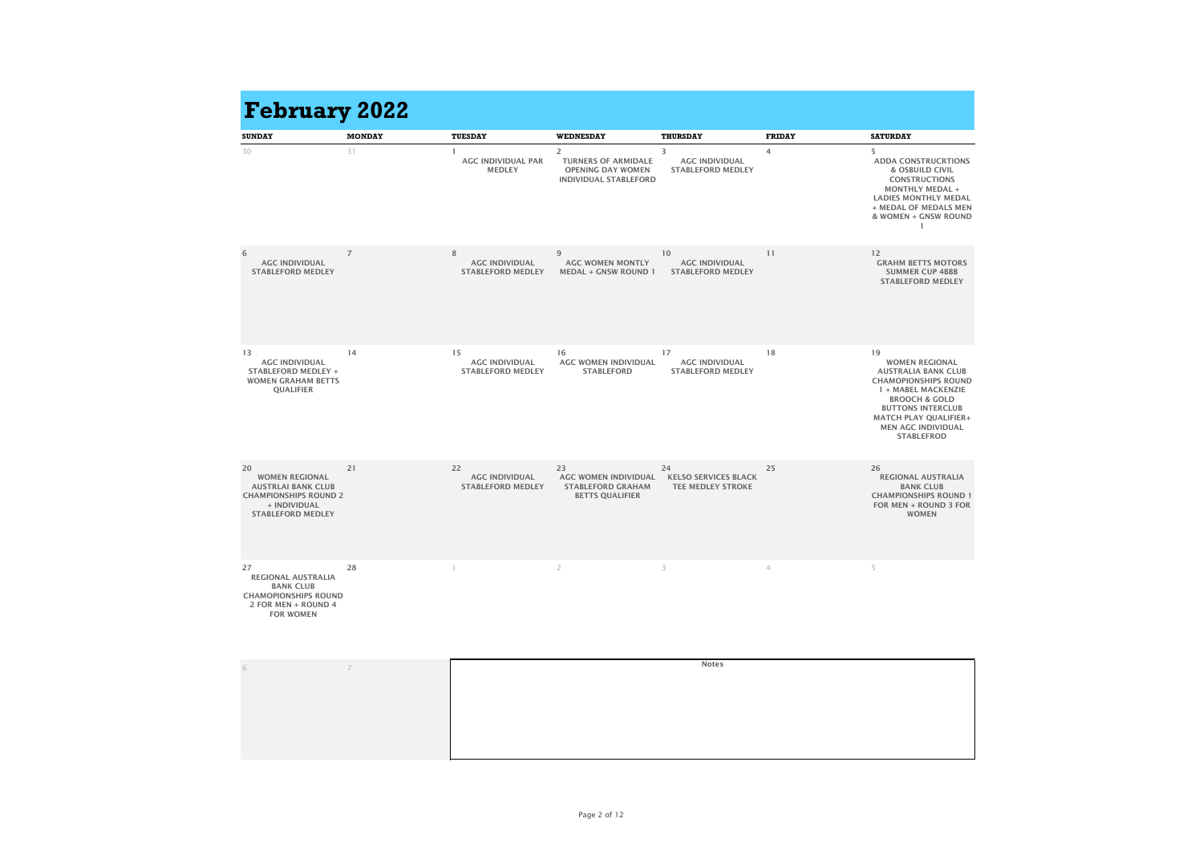| <b>SUNDAY</b>                                                                                                                        | <b>MONDAY</b>  | <b>TUESDAY</b>                                          | <b>WEDNESDAY</b>                                                                            | <b>THURSDAY</b>                                               | <b>FRIDAY</b> | <b>SATURDAY</b>                                                                                                                                                                                                                                           |
|--------------------------------------------------------------------------------------------------------------------------------------|----------------|---------------------------------------------------------|---------------------------------------------------------------------------------------------|---------------------------------------------------------------|---------------|-----------------------------------------------------------------------------------------------------------------------------------------------------------------------------------------------------------------------------------------------------------|
| 30                                                                                                                                   | 31             | <b>AGC INDIVIDUAL PAR</b><br><b>MEDLEY</b>              | 2<br><b>TURNERS OF ARMIDALE</b><br><b>OPENING DAY WOMEN</b><br><b>INDIVIDUAL STABLEFORD</b> | 3<br><b>AGC INDIVIDUAL</b><br><b>STABLEFORD MEDLEY</b>        | 4             | 5<br><b>ADDA CONSTRUCRTIONS</b><br><b>&amp; OSBUILD CIVIL</b><br><b>CONSTRUCTIONS</b><br><b>MONTHLY MEDAL +</b><br><b>LADIES MONTHLY MEDAL</b><br>+ MEDAL OF MEDALS MEN<br>& WOMEN + GNSW ROUND                                                           |
| 6<br><b>AGC INDIVIDUAL</b><br><b>STABLEFORD MEDLEY</b>                                                                               | $\overline{7}$ | 8<br><b>AGC INDIVIDUAL</b><br><b>STABLEFORD MEDLEY</b>  | 9<br><b>AGC WOMEN MONTLY</b><br><b>MEDAL + GNSW ROUND 1</b>                                 | 10<br><b>AGC INDIVIDUAL</b><br><b>STABLEFORD MEDLEY</b>       | 11            | 12<br><b>GRAHM BETTS MOTORS</b><br><b>SUMMER CUP 4BBB</b><br><b>STABLEFORD MEDLEY</b>                                                                                                                                                                     |
| 13<br><b>AGC INDIVIDUAL</b><br><b>STABLEFORD MEDLEY +</b><br><b>WOMEN GRAHAM BETTS</b><br><b>QUALIFIER</b>                           | 14             | 15<br><b>AGC INDIVIDUAL</b><br><b>STABLEFORD MEDLEY</b> | 16<br><b>AGC WOMEN INDIVIDUAL</b><br><b>STABLEFORD</b>                                      | 17<br><b>AGC INDIVIDUAL</b><br><b>STABLEFORD MEDLEY</b>       | 18            | 19<br><b>WOMEN REGIONAL</b><br><b>AUSTRALIA BANK CLUB</b><br><b>CHAMOPIONSHIPS ROUND</b><br>1 + MABEL MACKENZIE<br><b>BROOCH &amp; GOLD</b><br><b>BUTTONS INTERCLUB</b><br><b>MATCH PLAY QUALIFIER+</b><br><b>MEN AGC INDIVIDUAL</b><br><b>STABLEFROD</b> |
| 20<br><b>WOMEN REGIONAL</b><br><b>AUSTRLAI BANK CLUB</b><br><b>CHAMPIONSHIPS ROUND 2</b><br>+ INDIVIDUAL<br><b>STABLEFORD MEDLEY</b> | 21             | 22<br><b>AGC INDIVIDUAL</b><br><b>STABLEFORD MEDLEY</b> | 23<br><b>AGC WOMEN INDIVIDUAL</b><br><b>STABLEFORD GRAHAM</b><br><b>BETTS QUALIFIER</b>     | 24<br><b>KELSO SERVICES BLACK</b><br><b>TEE MEDLEY STROKE</b> | 25            | 26<br><b>REGIONAL AUSTRALIA</b><br><b>BANK CLUB</b><br><b>CHAMPIONSHIPS ROUND 1</b><br>FOR MEN + ROUND 3 FOR<br><b>WOMEN</b>                                                                                                                              |
| 27<br><b>REGIONAL AUSTRALIA</b><br><b>BANK CLUB</b><br><b>CHAMOPIONSHIPS ROUND</b><br>2 FOR MEN + ROUND 4<br><b>FOR WOMEN</b>        | 28             |                                                         | $\overline{2}$                                                                              | 3                                                             | 4             | 5                                                                                                                                                                                                                                                         |
| 6                                                                                                                                    | $\overline{7}$ |                                                         |                                                                                             | <b>Notes</b>                                                  |               |                                                                                                                                                                                                                                                           |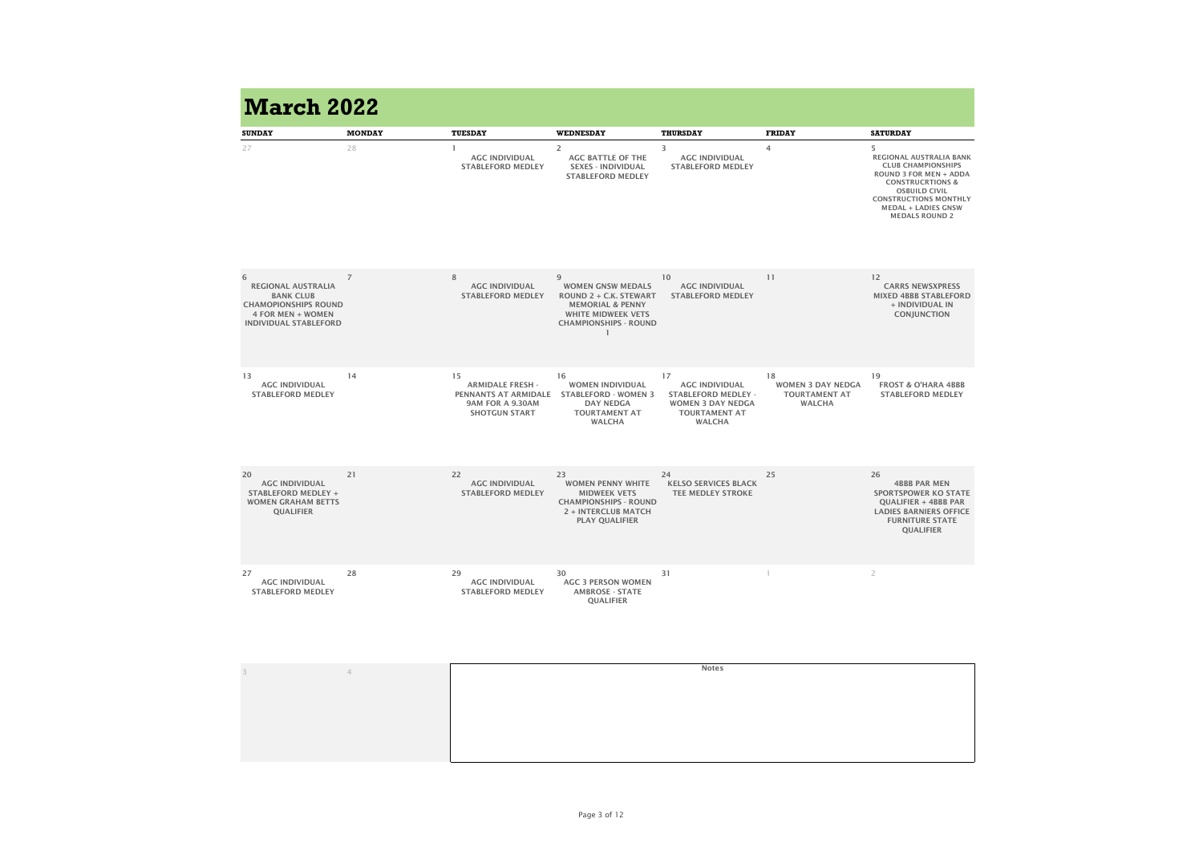| <b>SUNDAY</b>                                                                                                                          | <b>MONDAY</b>  | <b>TUESDAY</b>                                                                                           | <b>WEDNESDAY</b>                                                                                                                                           | <b>THURSDAY</b>                                                                                                                | <b>FRIDAY</b>                                                           | <b>SATURDAY</b>                                                                                                                                                                                                                          |
|----------------------------------------------------------------------------------------------------------------------------------------|----------------|----------------------------------------------------------------------------------------------------------|------------------------------------------------------------------------------------------------------------------------------------------------------------|--------------------------------------------------------------------------------------------------------------------------------|-------------------------------------------------------------------------|------------------------------------------------------------------------------------------------------------------------------------------------------------------------------------------------------------------------------------------|
| 27                                                                                                                                     | 28             | <b>AGC INDIVIDUAL</b><br><b>STABLEFORD MEDLEY</b>                                                        | $\overline{2}$<br><b>AGC BATTLE OF THE</b><br><b>SEXES - INDIVIDUAL</b><br><b>STABLEFORD MEDLEY</b>                                                        | 3<br><b>AGC INDIVIDUAL</b><br><b>STABLEFORD MEDLEY</b>                                                                         | $\overline{4}$                                                          | 5<br>REGIONAL AUSTRALIA BANK<br><b>CLUB CHAMPIONSHIPS</b><br><b>ROUND 3 FOR MEN + ADDA</b><br><b>CONSTRUCRTIONS &amp;</b><br><b>OSBUILD CIVIL</b><br><b>CONSTRUCTIONS MONTHLY</b><br><b>MEDAL + LADIES GNSW</b><br><b>MEDALS ROUND 2</b> |
| 6<br><b>REGIONAL AUSTRALIA</b><br><b>BANK CLUB</b><br><b>CHAMOPIONSHIPS ROUND</b><br>4 FOR MEN + WOMEN<br><b>INDIVIDUAL STABLEFORD</b> | $\overline{7}$ | 8<br><b>AGC INDIVIDUAL</b><br><b>STABLEFORD MEDLEY</b>                                                   | 9<br><b>WOMEN GNSW MEDALS</b><br><b>ROUND 2 + C.K. STEWART</b><br><b>MEMORIAL &amp; PENNY</b><br><b>WHITE MIDWEEK VETS</b><br><b>CHAMPIONSHIPS - ROUND</b> | 10<br><b>AGC INDIVIDUAL</b><br><b>STABLEFORD MEDLEY</b>                                                                        | 11                                                                      | 12<br><b>CARRS NEWSXPRESS</b><br><b>MIXED 4BBB STABLEFORD</b><br>+ INDIVIDUAL IN<br><b>CONJUNCTION</b>                                                                                                                                   |
| 13<br><b>AGC INDIVIDUAL</b><br><b>STABLEFORD MEDLEY</b>                                                                                | 14             | 15<br><b>ARMIDALE FRESH -</b><br><b>PENNANTS AT ARMIDALE</b><br>9AM FOR A 9.30AM<br><b>SHOTGUN START</b> | 16<br><b>WOMEN INDIVIDUAL</b><br><b>STABLEFORD - WOMEN 3</b><br><b>DAY NEDGA</b><br><b>TOURTAMENT AT</b><br><b>WALCHA</b>                                  | 17<br><b>AGC INDIVIDUAL</b><br><b>STABLEFORD MEDLEY -</b><br><b>WOMEN 3 DAY NEDGA</b><br><b>TOURTAMENT AT</b><br><b>WALCHA</b> | 18<br><b>WOMEN 3 DAY NEDGA</b><br><b>TOURTAMENT AT</b><br><b>WALCHA</b> | 19<br><b>FROST &amp; O'HARA 4BBB</b><br><b>STABLEFORD MEDLEY</b>                                                                                                                                                                         |
| 20<br><b>AGC INDIVIDUAL</b><br><b>STABLEFORD MEDLEY +</b><br><b>WOMEN GRAHAM BETTS</b><br><b>QUALIFIER</b>                             | 21             | 22<br><b>AGC INDIVIDUAL</b><br><b>STABLEFORD MEDLEY</b>                                                  | 23<br><b>WOMEN PENNY WHITE</b><br><b>MIDWEEK VETS</b><br><b>CHAMPIONSHIPS - ROUND</b><br><b>2 + INTERCLUB MATCH</b><br><b>PLAY QUALIFIER</b>               | 24<br><b>KELSO SERVICES BLACK</b><br><b>TEE MEDLEY STROKE</b>                                                                  | 25                                                                      | 26<br><b>4BBB PAR MEN</b><br><b>SPORTSPOWER KO STATE</b><br><b>QUALIFIER + 4BBB PAR</b><br><b>LADIES BARNIERS OFFICE</b><br><b>FURNITURE STATE</b><br><b>QUALIFIER</b>                                                                   |
| 27<br><b>AGC INDIVIDUAL</b><br><b>STABLEFORD MEDLEY</b>                                                                                | 28             | 29<br><b>AGC INDIVIDUAL</b><br><b>STABLEFORD MEDLEY</b>                                                  | 30<br><b>AGC 3 PERSON WOMEN</b><br><b>AMBROSE - STATE</b><br><b>QUALIFIER</b>                                                                              | 31                                                                                                                             |                                                                         | $\overline{2}$                                                                                                                                                                                                                           |
| $\mathbb{R}$                                                                                                                           | $\overline{4}$ |                                                                                                          |                                                                                                                                                            | <b>Notes</b>                                                                                                                   |                                                                         |                                                                                                                                                                                                                                          |
|                                                                                                                                        |                |                                                                                                          |                                                                                                                                                            |                                                                                                                                |                                                                         |                                                                                                                                                                                                                                          |

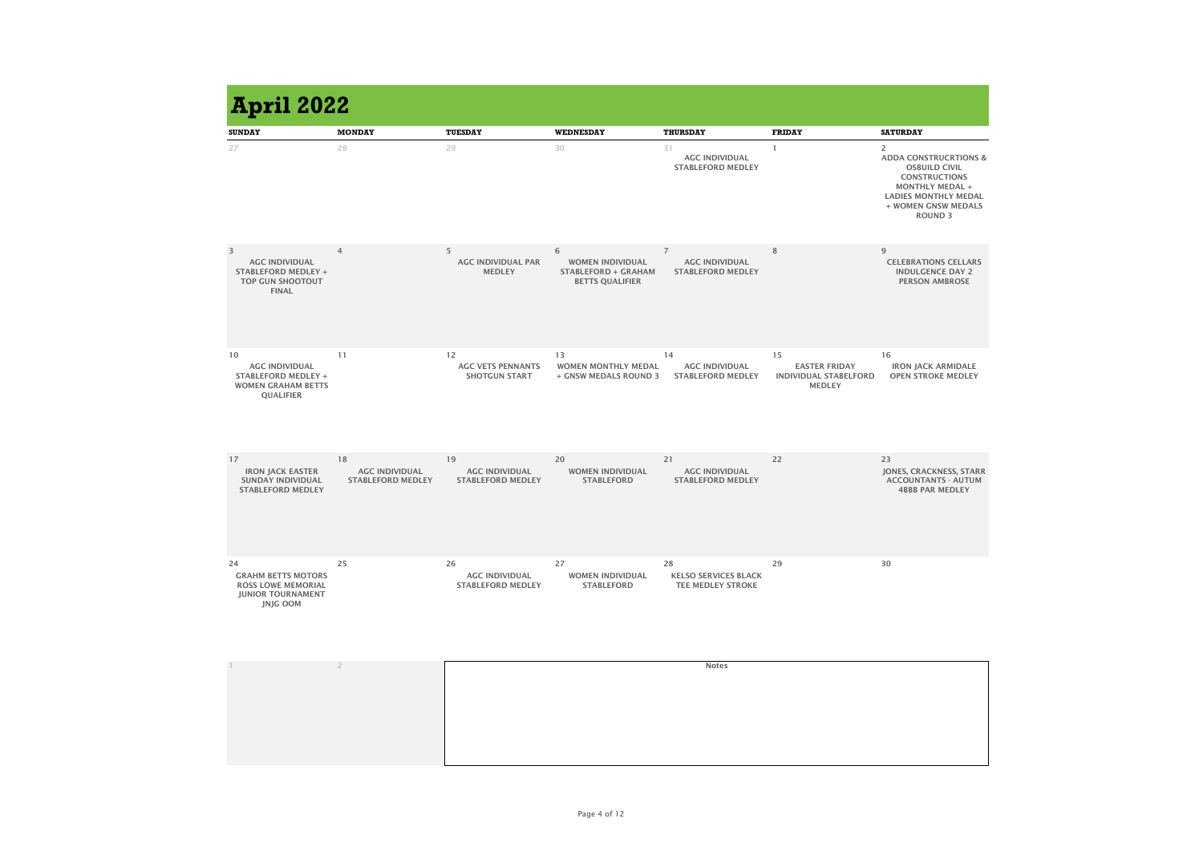| <b>April 2022</b>                                                                                           |                                                         |                                                         |                                                                                      |                                                                     |                                                                             |                                                                                                                                                                                                      |
|-------------------------------------------------------------------------------------------------------------|---------------------------------------------------------|---------------------------------------------------------|--------------------------------------------------------------------------------------|---------------------------------------------------------------------|-----------------------------------------------------------------------------|------------------------------------------------------------------------------------------------------------------------------------------------------------------------------------------------------|
| <b>SUNDAY</b>                                                                                               | <b>MONDAY</b>                                           | <b>TUESDAY</b>                                          | <b>WEDNESDAY</b>                                                                     | <b>THURSDAY</b>                                                     | <b>FRIDAY</b>                                                               | <b>SATURDAY</b>                                                                                                                                                                                      |
| 27                                                                                                          | 28                                                      | 29                                                      | 30                                                                                   | 31<br><b>AGC INDIVIDUAL</b><br><b>STABLEFORD MEDLEY</b>             |                                                                             | $\overline{2}$<br><b>ADDA CONSTRUCRTIONS &amp;</b><br><b>OSBUILD CIVIL</b><br><b>CONSTRUCTIONS</b><br><b>MONTHLY MEDAL +</b><br><b>LADIES MONTHLY MEDAL</b><br>+ WOMEN GNSW MEDALS<br><b>ROUND 3</b> |
| 3<br><b>AGC INDIVIDUAL</b><br><b>STABLEFORD MEDLEY +</b><br><b>TOP GUN SHOOTOUT</b><br><b>FINAL</b>         | $\overline{4}$                                          | 5<br><b>AGC INDIVIDUAL PAR</b><br><b>MEDLEY</b>         | 6<br><b>WOMEN INDIVIDUAL</b><br><b>STABLEFORD + GRAHAM</b><br><b>BETTS QUALIFIER</b> | $\overline{7}$<br><b>AGC INDIVIDUAL</b><br><b>STABLEFORD MEDLEY</b> | 8                                                                           | 9<br><b>CELEBRATIONS CELLARS</b><br><b>INDULGENCE DAY 2</b><br><b>PERSON AMBROSE</b>                                                                                                                 |
| 10<br><b>AGC INDIVIDUAL</b><br><b>STABLEFORD MEDLEY +</b><br><b>WOMEN GRAHAM BETTS</b><br><b>QUALIFIER</b>  | 11                                                      | 12<br><b>AGC VETS PENNANTS</b><br><b>SHOTGUN START</b>  | 13<br><b>WOMEN MONTHLY MEDAL</b><br>+ GNSW MEDALS ROUND 3                            | 14<br><b>AGC INDIVIDUAL</b><br><b>STABLEFORD MEDLEY</b>             | 15<br><b>EASTER FRIDAY</b><br><b>INDIVIDUAL STABELFORD</b><br><b>MEDLEY</b> | 16<br><b>IRON JACK ARMIDALE</b><br><b>OPEN STROKE MEDLEY</b>                                                                                                                                         |
| 17<br><b>IRON JACK EASTER</b><br><b>SUNDAY INDIVIDUAL</b><br><b>STABLEFORD MEDLEY</b>                       | 18<br><b>AGC INDIVIDUAL</b><br><b>STABLEFORD MEDLEY</b> | 19<br><b>AGC INDIVIDUAL</b><br><b>STABLEFORD MEDLEY</b> | 20<br><b>WOMEN INDIVIDUAL</b><br><b>STABLEFORD</b>                                   | 21<br><b>AGC INDIVIDUAL</b><br><b>STABLEFORD MEDLEY</b>             | 22                                                                          | 23<br>JONES, CRACKNESS, STARR<br><b>ACCOUNTANTS - AUTUM</b><br><b>4BBB PAR MEDLEY</b>                                                                                                                |
| 24<br><b>GRAHM BETTS MOTORS</b><br><b>ROSS LOWE MEMORIAL</b><br><b>JUNIOR TOURNAMENT</b><br><b>JNJG OOM</b> | 25                                                      | 26<br><b>AGC INDIVIDUAL</b><br><b>STABLEFORD MEDLEY</b> | 27<br><b>WOMEN INDIVIDUAL</b><br><b>STABLEFORD</b>                                   | 28<br><b>KELSO SERVICES BLACK</b><br>TEE MEDLEY STROKE              | 29                                                                          | 30                                                                                                                                                                                                   |
|                                                                                                             | $\overline{\phantom{a}}$                                |                                                         |                                                                                      | <b>Notes</b>                                                        |                                                                             |                                                                                                                                                                                                      |

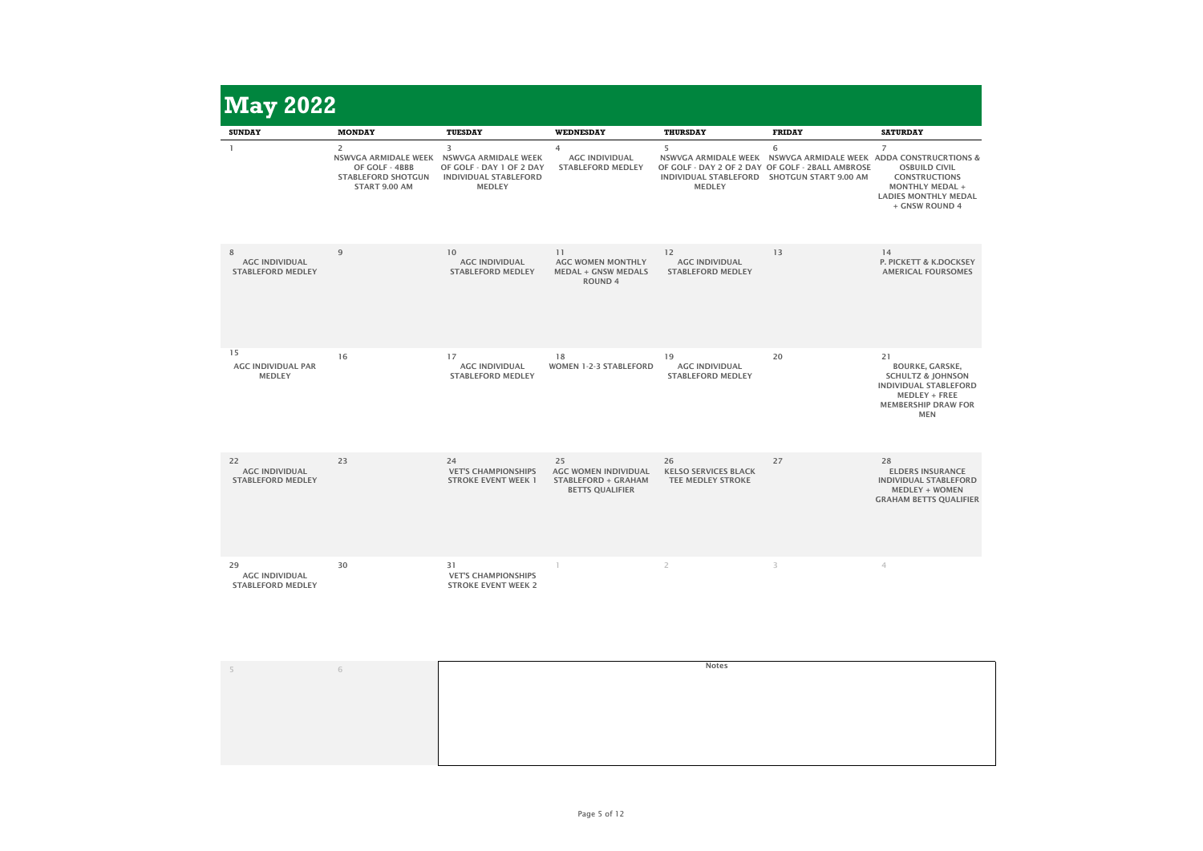| <b>May 2022</b>                                         |                                                                                                               |                                                                                                               |                                                                                           |                                                                                   |                                                                                                                                                |                                                                                                                                                                  |
|---------------------------------------------------------|---------------------------------------------------------------------------------------------------------------|---------------------------------------------------------------------------------------------------------------|-------------------------------------------------------------------------------------------|-----------------------------------------------------------------------------------|------------------------------------------------------------------------------------------------------------------------------------------------|------------------------------------------------------------------------------------------------------------------------------------------------------------------|
| <b>SUNDAY</b>                                           | <b>MONDAY</b>                                                                                                 | <b>TUESDAY</b>                                                                                                | <b>WEDNESDAY</b>                                                                          | <b>THURSDAY</b>                                                                   | <b>FRIDAY</b>                                                                                                                                  | <b>SATURDAY</b>                                                                                                                                                  |
|                                                         | $\overline{2}$<br><b>NSWVGA ARMIDALE WEEK</b><br>OF GOLF - 4BBB<br><b>STABLEFORD SHOTGUN</b><br>START 9.00 AM | 3<br><b>NSWVGA ARMIDALE WEEK</b><br>OF GOLF - DAY 1 OF 2 DAY<br><b>INDIVIDUAL STABLEFORD</b><br><b>MEDLEY</b> | $\overline{4}$<br><b>AGC INDIVIDUAL</b><br><b>STABLEFORD MEDLEY</b>                       | 5<br><b>NSWVGA ARMIDALE WEEK</b><br><b>INDIVIDUAL STABLEFORD</b><br><b>MEDLEY</b> | 6<br><b>NSWVGA ARMIDALE WEEK ADDA CONSTRUCRTIONS &amp;</b><br>OF GOLF - DAY 2 OF 2 DAY OF GOLF - 2BALL AMBROSE<br><b>SHOTGUN START 9.00 AM</b> | $\overline{7}$<br><b>OSBUILD CIVIL</b><br><b>CONSTRUCTIONS</b><br><b>MONTHLY MEDAL +</b><br><b>LADIES MONTHLY MEDAL</b><br>+ GNSW ROUND 4                        |
| 8<br><b>AGC INDIVIDUAL</b><br><b>STABLEFORD MEDLEY</b>  | 9                                                                                                             | 10<br><b>AGC INDIVIDUAL</b><br><b>STABLEFORD MEDLEY</b>                                                       | 11<br><b>AGC WOMEN MONTHLY</b><br><b>MEDAL + GNSW MEDALS</b><br><b>ROUND 4</b>            | 12<br><b>AGC INDIVIDUAL</b><br><b>STABLEFORD MEDLEY</b>                           | 13                                                                                                                                             | 14<br>P. PICKETT & K.DOCKSEY<br><b>AMERICAL FOURSOMES</b>                                                                                                        |
| 15<br><b>AGC INDIVIDUAL PAR</b><br><b>MEDLEY</b>        | 16                                                                                                            | 17<br><b>AGC INDIVIDUAL</b><br><b>STABLEFORD MEDLEY</b>                                                       | 18<br><b>WOMEN 1-2-3 STABLEFORD</b>                                                       | 19<br><b>AGC INDIVIDUAL</b><br><b>STABLEFORD MEDLEY</b>                           | 20                                                                                                                                             | 21<br><b>BOURKE, GARSKE,</b><br><b>SCHULTZ &amp; JOHNSON</b><br><b>INDIVIDUAL STABLEFORD</b><br><b>MEDLEY + FREE</b><br><b>MEMBERSHIP DRAW FOR</b><br><b>MEN</b> |
| 22<br><b>AGC INDIVIDUAL</b><br><b>STABLEFORD MEDLEY</b> | 23                                                                                                            | 24<br><b>VET'S CHAMPIONSHIPS</b><br><b>STROKE EVENT WEEK 1</b>                                                | 25<br><b>AGC WOMEN INDIVIDUAL</b><br><b>STABLEFORD + GRAHAM</b><br><b>BETTS QUALIFIER</b> | 26<br><b>KELSO SERVICES BLACK</b><br><b>TEE MEDLEY STROKE</b>                     | 27                                                                                                                                             | 28<br><b>ELDERS INSURANCE</b><br><b>INDIVIDUAL STABLEFORD</b><br><b>MEDLEY + WOMEN</b><br><b>GRAHAM BETTS QUALIFIER</b>                                          |
| 29<br><b>AGC INDIVIDUAL</b><br><b>STABLEFORD MEDLEY</b> | 30                                                                                                            | 31<br><b>VET'S CHAMPIONSHIPS</b><br><b>STROKE EVENT WEEK 2</b>                                                |                                                                                           | $\overline{2}$                                                                    | 3                                                                                                                                              | 4                                                                                                                                                                |
|                                                         |                                                                                                               |                                                                                                               |                                                                                           | <b>Notes</b>                                                                      |                                                                                                                                                |                                                                                                                                                                  |

|  |  | <b>Notes</b> |
|--|--|--------------|
|  |  |              |
|  |  |              |
|  |  |              |
|  |  |              |
|  |  |              |
|  |  |              |
|  |  |              |
|  |  |              |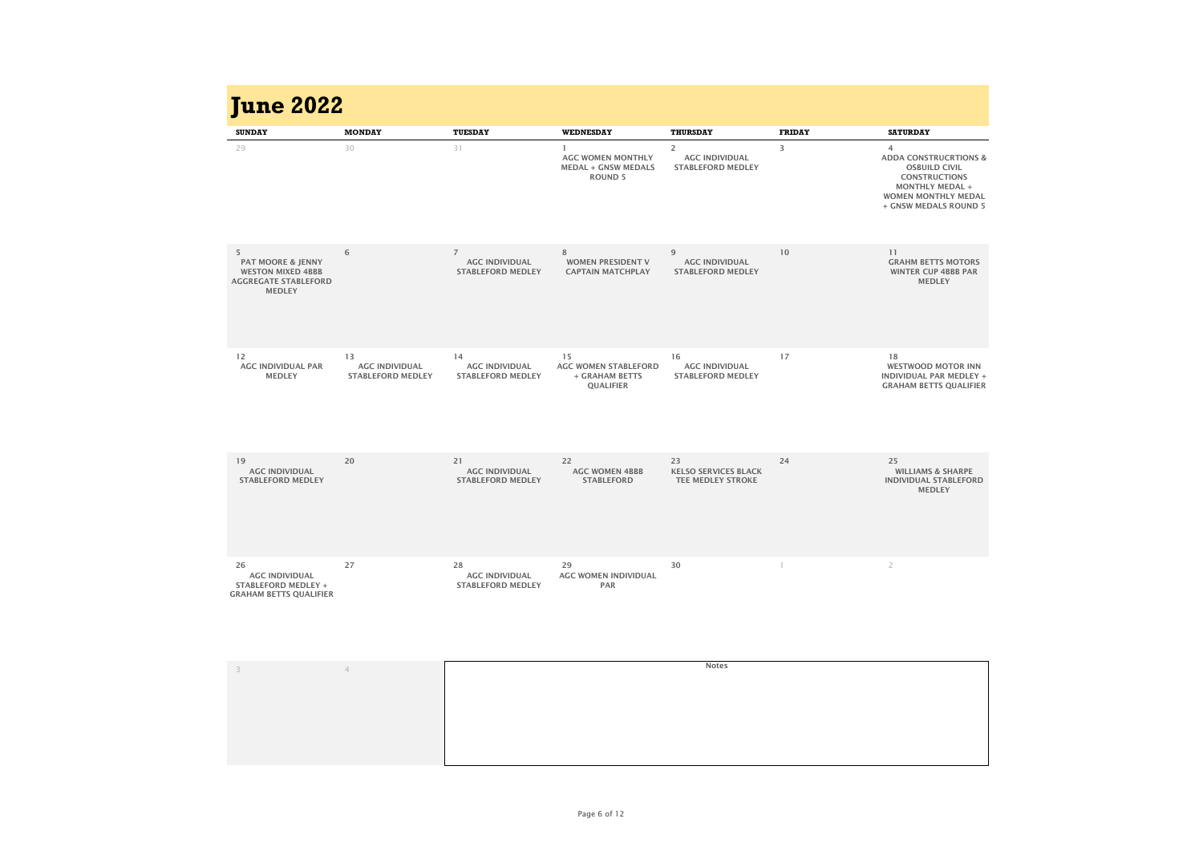| <b>June 2022</b>                                                                                              |                                                         |                                                                     |                                                                          |                                                                     |               |                                                                                                                                                                        |
|---------------------------------------------------------------------------------------------------------------|---------------------------------------------------------|---------------------------------------------------------------------|--------------------------------------------------------------------------|---------------------------------------------------------------------|---------------|------------------------------------------------------------------------------------------------------------------------------------------------------------------------|
| <b>SUNDAY</b>                                                                                                 | <b>MONDAY</b>                                           | <b>TUESDAY</b>                                                      | <b>WEDNESDAY</b>                                                         | <b>THURSDAY</b>                                                     | <b>FRIDAY</b> | <b>SATURDAY</b>                                                                                                                                                        |
| 29                                                                                                            | 30                                                      | 31                                                                  | <b>AGC WOMEN MONTHLY</b><br><b>MEDAL + GNSW MEDALS</b><br><b>ROUND 5</b> | $\overline{2}$<br><b>AGC INDIVIDUAL</b><br><b>STABLEFORD MEDLEY</b> | 3             | 4<br><b>ADDA CONSTRUCRTIONS &amp;</b><br><b>OSBUILD CIVIL</b><br><b>CONSTRUCTIONS</b><br><b>MONTHLY MEDAL +</b><br><b>WOMEN MONTHLY MEDAL</b><br>+ GNSW MEDALS ROUND 5 |
| 5<br><b>PAT MOORE &amp; JENNY</b><br><b>WESTON MIXED 4BBB</b><br><b>AGGREGATE STABLEFORD</b><br><b>MEDLEY</b> | 6                                                       | $\overline{7}$<br><b>AGC INDIVIDUAL</b><br><b>STABLEFORD MEDLEY</b> | 8<br><b>WOMEN PRESIDENT V</b><br><b>CAPTAIN MATCHPLAY</b>                | 9<br><b>AGC INDIVIDUAL</b><br><b>STABLEFORD MEDLEY</b>              | 10            | 11<br><b>GRAHM BETTS MOTORS</b><br><b>WINTER CUP 4BBB PAR</b><br><b>MEDLEY</b>                                                                                         |
| 12<br><b>AGC INDIVIDUAL PAR</b><br><b>MEDLEY</b>                                                              | 13<br><b>AGC INDIVIDUAL</b><br><b>STABLEFORD MEDLEY</b> | 14<br><b>AGC INDIVIDUAL</b><br><b>STABLEFORD MEDLEY</b>             | 15<br><b>AGC WOMEN STABLEFORD</b><br>+ GRAHAM BETTS<br><b>QUALIFIER</b>  | 16<br><b>AGC INDIVIDUAL</b><br><b>STABLEFORD MEDLEY</b>             | 17            | 18<br><b>WESTWOOD MOTOR INN</b><br><b>INDIVIDUAL PAR MEDLEY +</b><br><b>GRAHAM BETTS QUALIFIER</b>                                                                     |
| 19<br><b>AGC INDIVIDUAL</b><br><b>STABLEFORD MEDLEY</b>                                                       | 20                                                      | 21<br><b>AGC INDIVIDUAL</b><br><b>STABLEFORD MEDLEY</b>             | 22<br><b>AGC WOMEN 4BBB</b><br><b>STABLEFORD</b>                         | 23<br><b>KELSO SERVICES BLACK</b><br><b>TEE MEDLEY STROKE</b>       | 24            | 25<br><b>WILLIAMS &amp; SHARPE</b><br><b>INDIVIDUAL STABLEFORD</b><br><b>MEDLEY</b>                                                                                    |
| 26<br><b>AGC INDIVIDUAL</b><br><b>STABLEFORD MEDLEY +</b><br><b>GRAHAM BETTS QUALIFIER</b>                    | 27                                                      | 28<br><b>AGC INDIVIDUAL</b><br><b>STABLEFORD MEDLEY</b>             | 29<br><b>AGC WOMEN INDIVIDUAL</b><br><b>PAR</b>                          | 30                                                                  |               | $\overline{2}$                                                                                                                                                         |
| $\overline{\mathbf{3}}$                                                                                       | $\overline{4}$                                          |                                                                     |                                                                          | <b>Notes</b>                                                        |               |                                                                                                                                                                        |

| <b>June 2022</b>                                                                                              |                                                         |                                                                     |                                                                          |                                                                     |               |                                                                                                                                                                                     |
|---------------------------------------------------------------------------------------------------------------|---------------------------------------------------------|---------------------------------------------------------------------|--------------------------------------------------------------------------|---------------------------------------------------------------------|---------------|-------------------------------------------------------------------------------------------------------------------------------------------------------------------------------------|
| <b>SUNDAY</b>                                                                                                 | <b>MONDAY</b>                                           | <b>TUESDAY</b>                                                      | <b>WEDNESDAY</b>                                                         | <b>THURSDAY</b>                                                     | <b>FRIDAY</b> | <b>SATURDAY</b>                                                                                                                                                                     |
| 29                                                                                                            | 30                                                      | 31                                                                  | <b>AGC WOMEN MONTHLY</b><br><b>MEDAL + GNSW MEDALS</b><br><b>ROUND 5</b> | $\overline{2}$<br><b>AGC INDIVIDUAL</b><br><b>STABLEFORD MEDLEY</b> | 3             | $\overline{4}$<br><b>ADDA CONSTRUCRTIONS &amp;</b><br><b>OSBUILD CIVIL</b><br><b>CONSTRUCTIONS</b><br><b>MONTHLY MEDAL +</b><br><b>WOMEN MONTHLY MEDAL</b><br>+ GNSW MEDALS ROUND 5 |
| 5<br><b>PAT MOORE &amp; JENNY</b><br><b>WESTON MIXED 4BBB</b><br><b>AGGREGATE STABLEFORD</b><br><b>MEDLEY</b> | 6                                                       | $\overline{7}$<br><b>AGC INDIVIDUAL</b><br><b>STABLEFORD MEDLEY</b> | 8<br><b>WOMEN PRESIDENT V</b><br><b>CAPTAIN MATCHPLAY</b>                | 9<br><b>AGC INDIVIDUAL</b><br><b>STABLEFORD MEDLEY</b>              | 10            | 11<br><b>GRAHM BETTS MOTORS</b><br><b>WINTER CUP 4BBB PAR</b><br><b>MEDLEY</b>                                                                                                      |
| 12<br><b>AGC INDIVIDUAL PAR</b><br><b>MEDLEY</b>                                                              | 13<br><b>AGC INDIVIDUAL</b><br><b>STABLEFORD MEDLEY</b> | 14<br><b>AGC INDIVIDUAL</b><br><b>STABLEFORD MEDLEY</b>             | 15<br><b>AGC WOMEN STABLEFORD</b><br>+ GRAHAM BETTS<br><b>QUALIFIER</b>  | 16<br><b>AGC INDIVIDUAL</b><br><b>STABLEFORD MEDLEY</b>             | 17            | 18<br><b>WESTWOOD MOTOR INN</b><br><b>INDIVIDUAL PAR MEDLEY +</b><br><b>GRAHAM BETTS QUALIFIER</b>                                                                                  |
| 19<br><b>AGC INDIVIDUAL</b><br><b>STABLEFORD MEDLEY</b>                                                       | 20                                                      | 21<br><b>AGC INDIVIDUAL</b><br><b>STABLEFORD MEDLEY</b>             | 22<br><b>AGC WOMEN 4BBB</b><br><b>STABLEFORD</b>                         | 23<br><b>KELSO SERVICES BLACK</b><br><b>TEE MEDLEY STROKE</b>       | 24            | 25<br><b>WILLIAMS &amp; SHARPE</b><br><b>INDIVIDUAL STABLEFORD</b><br><b>MEDLEY</b>                                                                                                 |
| 26<br><b>AGC INDIVIDUAL</b><br><b>STABLEFORD MEDLEY +</b><br><b>GRAHAM BETTS QUALIFIER</b>                    | 27                                                      | 28<br><b>AGC INDIVIDUAL</b><br><b>STABLEFORD MEDLEY</b>             | 29<br><b>AGC WOMEN INDIVIDUAL</b><br><b>PAR</b>                          | 30                                                                  |               | $\overline{2}$                                                                                                                                                                      |
| 3                                                                                                             | $\leftarrow$                                            |                                                                     |                                                                          | <b>Notes</b>                                                        |               |                                                                                                                                                                                     |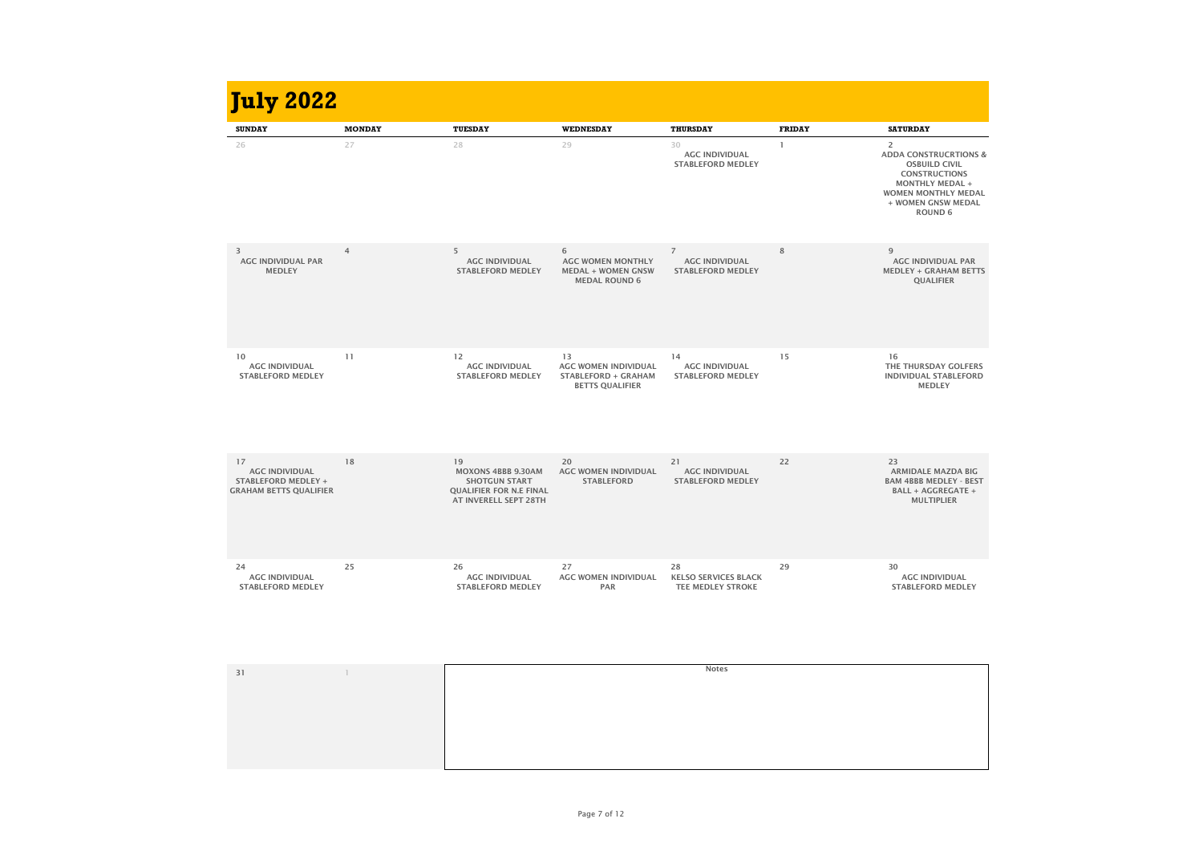| <b>SUNDAY</b>                                                                              | <b>MONDAY</b>  | <b>TUESDAY</b>                                                                                                     | <b>WEDNESDAY</b>                                                                          | <b>THURSDAY</b>                                                     | <b>FRIDAY</b> | <b>SATURDAY</b>                                                                                                                                                                                    |
|--------------------------------------------------------------------------------------------|----------------|--------------------------------------------------------------------------------------------------------------------|-------------------------------------------------------------------------------------------|---------------------------------------------------------------------|---------------|----------------------------------------------------------------------------------------------------------------------------------------------------------------------------------------------------|
| 26                                                                                         | 27             | 28                                                                                                                 | 29                                                                                        | 30<br><b>AGC INDIVIDUAL</b><br><b>STABLEFORD MEDLEY</b>             |               | $\overline{2}$<br><b>ADDA CONSTRUCRTIONS &amp;</b><br><b>OSBUILD CIVIL</b><br><b>CONSTRUCTIONS</b><br><b>MONTHLY MEDAL +</b><br><b>WOMEN MONTHLY MEDAL</b><br>+ WOMEN GNSW MEDAL<br><b>ROUND 6</b> |
| $\overline{3}$<br><b>AGC INDIVIDUAL PAR</b><br><b>MEDLEY</b>                               | $\overline{4}$ | 5<br><b>AGC INDIVIDUAL</b><br><b>STABLEFORD MEDLEY</b>                                                             | 6<br><b>AGC WOMEN MONTHLY</b><br><b>MEDAL + WOMEN GNSW</b><br><b>MEDAL ROUND 6</b>        | $\overline{7}$<br><b>AGC INDIVIDUAL</b><br><b>STABLEFORD MEDLEY</b> | 8             | 9<br><b>AGC INDIVIDUAL PAR</b><br><b>MEDLEY + GRAHAM BETTS</b><br><b>QUALIFIER</b>                                                                                                                 |
| 10<br><b>AGC INDIVIDUAL</b><br><b>STABLEFORD MEDLEY</b>                                    | 11             | 12<br><b>AGC INDIVIDUAL</b><br><b>STABLEFORD MEDLEY</b>                                                            | 13<br><b>AGC WOMEN INDIVIDUAL</b><br><b>STABLEFORD + GRAHAM</b><br><b>BETTS QUALIFIER</b> | 14<br><b>AGC INDIVIDUAL</b><br><b>STABLEFORD MEDLEY</b>             | 15            | 16<br>THE THURSDAY GOLFERS<br><b>INDIVIDUAL STABLEFORD</b><br><b>MEDLEY</b>                                                                                                                        |
| 17<br><b>AGC INDIVIDUAL</b><br><b>STABLEFORD MEDLEY +</b><br><b>GRAHAM BETTS QUALIFIER</b> | 18             | 19<br><b>MOXONS 4BBB 9.30AM</b><br><b>SHOTGUN START</b><br><b>QUALIFIER FOR N.E FINAL</b><br>AT INVERELL SEPT 28TH | 20<br><b>AGC WOMEN INDIVIDUAL</b><br><b>STABLEFORD</b>                                    | 21<br><b>AGC INDIVIDUAL</b><br><b>STABLEFORD MEDLEY</b>             | 22            | 23<br><b>ARMIDALE MAZDA BIG</b><br><b>BAM 4BBB MEDLEY - BEST</b><br><b>BALL + AGGREGATE +</b><br><b>MULTIPLIER</b>                                                                                 |
| 24<br><b>AGC INDIVIDUAL</b><br><b>STABLEFORD MEDLEY</b>                                    | 25             | 26<br><b>AGC INDIVIDUAL</b><br><b>STABLEFORD MEDLEY</b>                                                            | 27<br><b>AGC WOMEN INDIVIDUAL</b><br><b>PAR</b>                                           | 28<br><b>KELSO SERVICES BLACK</b><br><b>TEE MEDLEY STROKE</b>       | 29            | 30<br><b>AGC INDIVIDUAL</b><br><b>STABLEFORD MEDLEY</b>                                                                                                                                            |
| 31                                                                                         |                |                                                                                                                    |                                                                                           | <b>Notes</b>                                                        |               |                                                                                                                                                                                                    |

| <b>July 2022</b>                                                                           |                |                                                                                                                    |                                                                                           |                                                                     |               |                                                                                                                                                                                                    |
|--------------------------------------------------------------------------------------------|----------------|--------------------------------------------------------------------------------------------------------------------|-------------------------------------------------------------------------------------------|---------------------------------------------------------------------|---------------|----------------------------------------------------------------------------------------------------------------------------------------------------------------------------------------------------|
| <b>SUNDAY</b>                                                                              | <b>MONDAY</b>  | <b>TUESDAY</b>                                                                                                     | <b>WEDNESDAY</b>                                                                          | <b>THURSDAY</b>                                                     | <b>FRIDAY</b> | <b>SATURDAY</b>                                                                                                                                                                                    |
| 26                                                                                         | 27             | 28                                                                                                                 | 29                                                                                        | 30<br><b>AGC INDIVIDUAL</b><br><b>STABLEFORD MEDLEY</b>             |               | $\overline{2}$<br><b>ADDA CONSTRUCRTIONS &amp;</b><br><b>OSBUILD CIVIL</b><br><b>CONSTRUCTIONS</b><br><b>MONTHLY MEDAL +</b><br><b>WOMEN MONTHLY MEDAL</b><br>+ WOMEN GNSW MEDAL<br><b>ROUND 6</b> |
| 3<br><b>AGC INDIVIDUAL PAR</b><br><b>MEDLEY</b>                                            | $\overline{4}$ | 5<br><b>AGC INDIVIDUAL</b><br><b>STABLEFORD MEDLEY</b>                                                             | 6<br><b>AGC WOMEN MONTHLY</b><br><b>MEDAL + WOMEN GNSW</b><br><b>MEDAL ROUND 6</b>        | $\overline{7}$<br><b>AGC INDIVIDUAL</b><br><b>STABLEFORD MEDLEY</b> | 8             | 9<br><b>AGC INDIVIDUAL PAR</b><br><b>MEDLEY + GRAHAM BETTS</b><br><b>QUALIFIER</b>                                                                                                                 |
| 10<br><b>AGC INDIVIDUAL</b><br><b>STABLEFORD MEDLEY</b>                                    | 11             | 12<br><b>AGC INDIVIDUAL</b><br><b>STABLEFORD MEDLEY</b>                                                            | 13<br><b>AGC WOMEN INDIVIDUAL</b><br><b>STABLEFORD + GRAHAM</b><br><b>BETTS QUALIFIER</b> | 14<br><b>AGC INDIVIDUAL</b><br><b>STABLEFORD MEDLEY</b>             | 15            | 16<br>THE THURSDAY GOLFERS<br><b>INDIVIDUAL STABLEFORD</b><br><b>MEDLEY</b>                                                                                                                        |
| 17<br><b>AGC INDIVIDUAL</b><br><b>STABLEFORD MEDLEY +</b><br><b>GRAHAM BETTS QUALIFIER</b> | 18             | 19<br><b>MOXONS 4BBB 9.30AM</b><br><b>SHOTGUN START</b><br><b>QUALIFIER FOR N.E FINAL</b><br>AT INVERELL SEPT 28TH | 20<br><b>AGC WOMEN INDIVIDUAL</b><br><b>STABLEFORD</b>                                    | 21<br><b>AGC INDIVIDUAL</b><br><b>STABLEFORD MEDLEY</b>             | 22            | 23<br><b>ARMIDALE MAZDA BIG</b><br><b>BAM 4BBB MEDLEY - BEST</b><br><b>BALL + AGGREGATE +</b><br><b>MULTIPLIER</b>                                                                                 |
| 24<br><b>AGC INDIVIDUAL</b><br><b>STABLEFORD MEDLEY</b>                                    | 25             | 26<br><b>AGC INDIVIDUAL</b><br><b>STABLEFORD MEDLEY</b>                                                            | 27<br><b>AGC WOMEN INDIVIDUAL</b><br><b>PAR</b>                                           | 28<br><b>KELSO SERVICES BLACK</b><br><b>TEE MEDLEY STROKE</b>       | 29            | 30<br><b>AGC INDIVIDUAL</b><br><b>STABLEFORD MEDLEY</b>                                                                                                                                            |
| 31                                                                                         |                |                                                                                                                    |                                                                                           | <b>Notes</b>                                                        |               |                                                                                                                                                                                                    |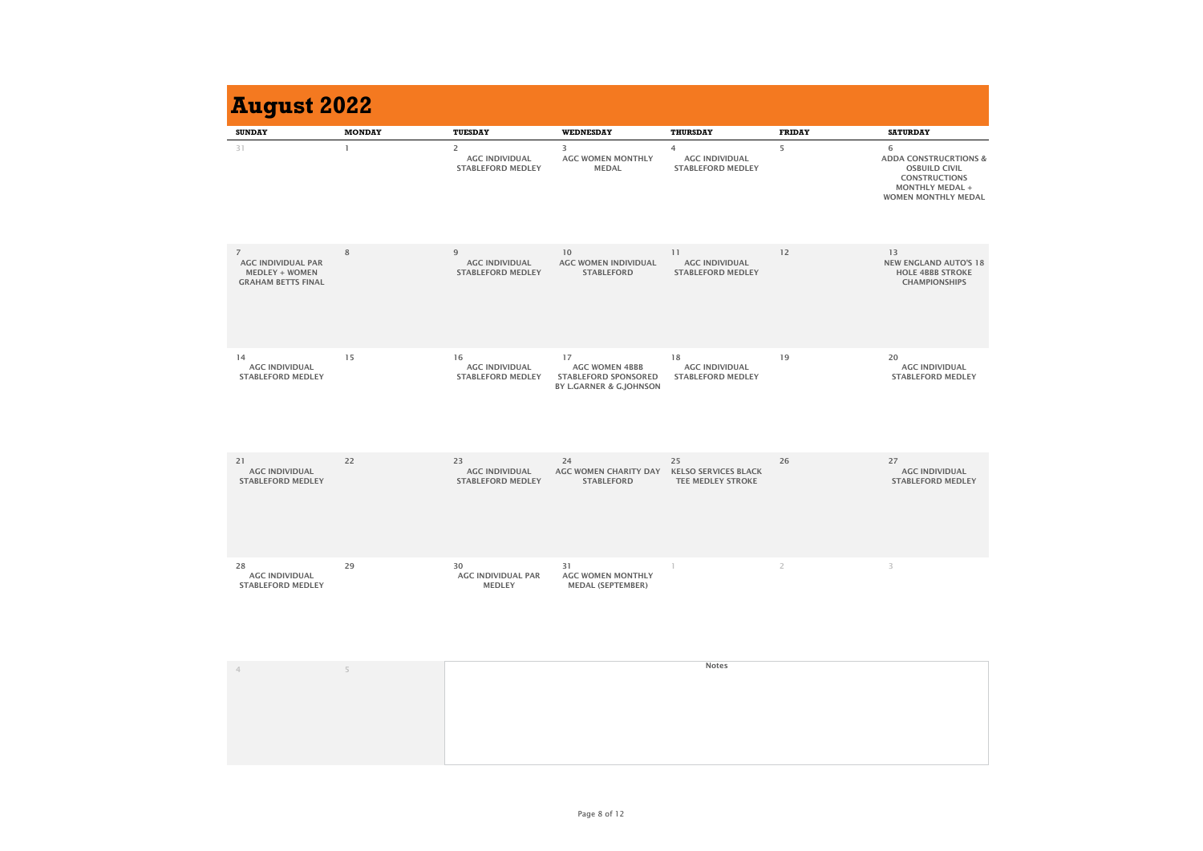| <b>August 2022</b>                                                                                |               |                                                                     |                                                                                                  |                                                                     |                |                                                                                                                                               |
|---------------------------------------------------------------------------------------------------|---------------|---------------------------------------------------------------------|--------------------------------------------------------------------------------------------------|---------------------------------------------------------------------|----------------|-----------------------------------------------------------------------------------------------------------------------------------------------|
| <b>SUNDAY</b>                                                                                     | <b>MONDAY</b> | <b>TUESDAY</b>                                                      | <b>WEDNESDAY</b>                                                                                 | <b>THURSDAY</b>                                                     | <b>FRIDAY</b>  | <b>SATURDAY</b>                                                                                                                               |
| 31                                                                                                |               | $\overline{2}$<br><b>AGC INDIVIDUAL</b><br><b>STABLEFORD MEDLEY</b> | 3<br><b>AGC WOMEN MONTHLY</b><br><b>MEDAL</b>                                                    | $\overline{4}$<br><b>AGC INDIVIDUAL</b><br><b>STABLEFORD MEDLEY</b> | 5              | 6<br><b>ADDA CONSTRUCRTIONS &amp;</b><br><b>OSBUILD CIVIL</b><br><b>CONSTRUCTIONS</b><br><b>MONTHLY MEDAL +</b><br><b>WOMEN MONTHLY MEDAL</b> |
| $\overline{7}$<br><b>AGC INDIVIDUAL PAR</b><br><b>MEDLEY + WOMEN</b><br><b>GRAHAM BETTS FINAL</b> | 8             | $\overline{9}$<br><b>AGC INDIVIDUAL</b><br><b>STABLEFORD MEDLEY</b> | 10<br><b>AGC WOMEN INDIVIDUAL</b><br><b>STABLEFORD</b>                                           | 11<br><b>AGC INDIVIDUAL</b><br><b>STABLEFORD MEDLEY</b>             | 12             | 13<br><b>NEW ENGLAND AUTO'S 18</b><br><b>HOLE 4BBB STROKE</b><br><b>CHAMPIONSHIPS</b>                                                         |
| 14<br><b>AGC INDIVIDUAL</b><br><b>STABLEFORD MEDLEY</b>                                           | 15            | 16<br><b>AGC INDIVIDUAL</b><br><b>STABLEFORD MEDLEY</b>             | 17<br><b>AGC WOMEN 4BBB</b><br><b>STABLEFORD SPONSORED</b><br><b>BY L.GARNER &amp; G.JOHNSON</b> | 18<br><b>AGC INDIVIDUAL</b><br><b>STABLEFORD MEDLEY</b>             | 19             | 20<br><b>AGC INDIVIDUAL</b><br><b>STABLEFORD MEDLEY</b>                                                                                       |
| 21<br><b>AGC INDIVIDUAL</b><br><b>STABLEFORD MEDLEY</b>                                           | 22            | 23<br><b>AGC INDIVIDUAL</b><br><b>STABLEFORD MEDLEY</b>             | 24<br><b>AGC WOMEN CHARITY DAY</b><br><b>STABLEFORD</b>                                          | 25<br><b>KELSO SERVICES BLACK</b><br><b>TEE MEDLEY STROKE</b>       | 26             | 27<br><b>AGC INDIVIDUAL</b><br><b>STABLEFORD MEDLEY</b>                                                                                       |
| 28<br><b>AGC INDIVIDUAL</b><br><b>STABLEFORD MEDLEY</b>                                           | 29            | 30<br><b>AGC INDIVIDUAL PAR</b><br><b>MEDLEY</b>                    | 31<br><b>AGC WOMEN MONTHLY</b><br><b>MEDAL (SEPTEMBER)</b>                                       |                                                                     | $\overline{2}$ | 3                                                                                                                                             |
| $\overline{4}$                                                                                    | 5             |                                                                     |                                                                                                  | <b>Notes</b>                                                        |                |                                                                                                                                               |

| <b>August 2022</b>                                                                                |               |                                                                     |                                                                                                  |                                                                     |                |                                                                                                                                               |
|---------------------------------------------------------------------------------------------------|---------------|---------------------------------------------------------------------|--------------------------------------------------------------------------------------------------|---------------------------------------------------------------------|----------------|-----------------------------------------------------------------------------------------------------------------------------------------------|
| <b>SUNDAY</b>                                                                                     | <b>MONDAY</b> | <b>TUESDAY</b>                                                      | <b>WEDNESDAY</b>                                                                                 | <b>THURSDAY</b>                                                     | <b>FRIDAY</b>  | <b>SATURDAY</b>                                                                                                                               |
| 31                                                                                                |               | $\overline{2}$<br><b>AGC INDIVIDUAL</b><br><b>STABLEFORD MEDLEY</b> | 3<br><b>AGC WOMEN MONTHLY</b><br><b>MEDAL</b>                                                    | $\overline{4}$<br><b>AGC INDIVIDUAL</b><br><b>STABLEFORD MEDLEY</b> | 5              | 6<br><b>ADDA CONSTRUCRTIONS &amp;</b><br><b>OSBUILD CIVIL</b><br><b>CONSTRUCTIONS</b><br><b>MONTHLY MEDAL +</b><br><b>WOMEN MONTHLY MEDAL</b> |
| $\overline{7}$<br><b>AGC INDIVIDUAL PAR</b><br><b>MEDLEY + WOMEN</b><br><b>GRAHAM BETTS FINAL</b> | 8             | 9<br><b>AGC INDIVIDUAL</b><br><b>STABLEFORD MEDLEY</b>              | 10<br><b>AGC WOMEN INDIVIDUAL</b><br><b>STABLEFORD</b>                                           | 11<br><b>AGC INDIVIDUAL</b><br><b>STABLEFORD MEDLEY</b>             | 12             | 13<br><b>NEW ENGLAND AUTO'S 18</b><br><b>HOLE 4BBB STROKE</b><br><b>CHAMPIONSHIPS</b>                                                         |
| 14<br><b>AGC INDIVIDUAL</b><br><b>STABLEFORD MEDLEY</b>                                           | 15            | 16<br><b>AGC INDIVIDUAL</b><br><b>STABLEFORD MEDLEY</b>             | 17<br><b>AGC WOMEN 4BBB</b><br><b>STABLEFORD SPONSORED</b><br><b>BY L.GARNER &amp; G.JOHNSON</b> | 18<br><b>AGC INDIVIDUAL</b><br><b>STABLEFORD MEDLEY</b>             | 19             | 20<br><b>AGC INDIVIDUAL</b><br><b>STABLEFORD MEDLEY</b>                                                                                       |
| 21<br><b>AGC INDIVIDUAL</b><br><b>STABLEFORD MEDLEY</b>                                           | 22            | 23<br><b>AGC INDIVIDUAL</b><br><b>STABLEFORD MEDLEY</b>             | 24<br><b>AGC WOMEN CHARITY DAY</b><br><b>STABLEFORD</b>                                          | 25<br><b>KELSO SERVICES BLACK</b><br><b>TEE MEDLEY STROKE</b>       | 26             | 27<br><b>AGC INDIVIDUAL</b><br><b>STABLEFORD MEDLEY</b>                                                                                       |
| 28<br><b>AGC INDIVIDUAL</b><br><b>STABLEFORD MEDLEY</b>                                           | 29            | 30<br><b>AGC INDIVIDUAL PAR</b><br><b>MEDLEY</b>                    | 31<br><b>AGC WOMEN MONTHLY</b><br><b>MEDAL (SEPTEMBER)</b>                                       |                                                                     | $\overline{2}$ | 3                                                                                                                                             |
| 4                                                                                                 | 5             |                                                                     |                                                                                                  | <b>Notes</b>                                                        |                |                                                                                                                                               |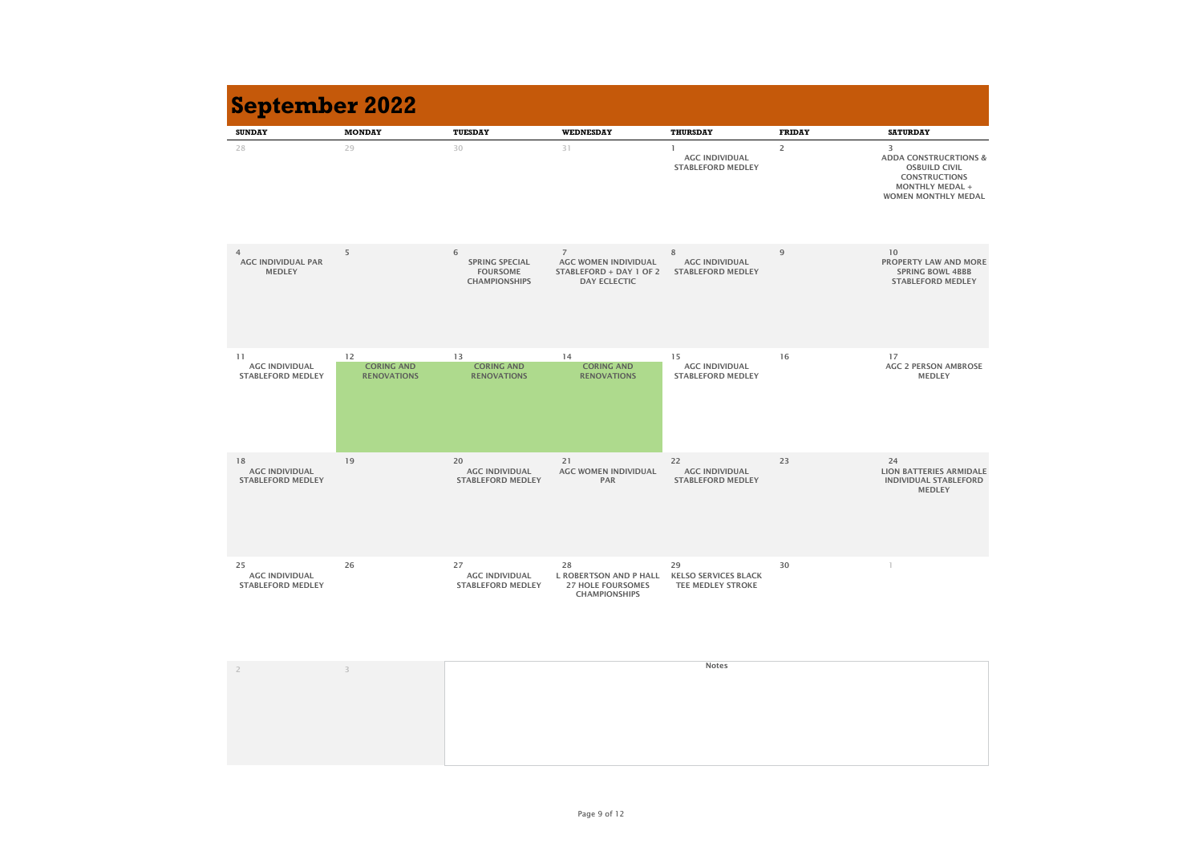

| <b>SUNDAY</b>                                                | <b>MONDAY</b>                                 | <b>TUESDAY</b>                                                        | <b>WEDNESDAY</b>                                                                                       | <b>THURSDAY</b>                                               | <b>FRIDAY</b>  | <b>SATURDAY</b>                                                                                                                               |
|--------------------------------------------------------------|-----------------------------------------------|-----------------------------------------------------------------------|--------------------------------------------------------------------------------------------------------|---------------------------------------------------------------|----------------|-----------------------------------------------------------------------------------------------------------------------------------------------|
| 28                                                           | 29                                            | 30                                                                    | 31                                                                                                     | <b>AGC INDIVIDUAL</b><br><b>STABLEFORD MEDLEY</b>             | $\overline{2}$ | 3<br><b>ADDA CONSTRUCRTIONS &amp;</b><br><b>OSBUILD CIVIL</b><br><b>CONSTRUCTIONS</b><br><b>MONTHLY MEDAL +</b><br><b>WOMEN MONTHLY MEDAL</b> |
| $\overline{4}$<br><b>AGC INDIVIDUAL PAR</b><br><b>MEDLEY</b> | 5                                             | 6<br><b>SPRING SPECIAL</b><br><b>FOURSOME</b><br><b>CHAMPIONSHIPS</b> | $\overline{7}$<br><b>AGC WOMEN INDIVIDUAL</b><br><b>STABLEFORD + DAY 1 OF 2</b><br><b>DAY ECLECTIC</b> | 8<br><b>AGC INDIVIDUAL</b><br><b>STABLEFORD MEDLEY</b>        | 9              | 10<br><b>PROPERTY LAW AND MORE</b><br><b>SPRING BOWL 4BBB</b><br><b>STABLEFORD MEDLEY</b>                                                     |
| 11<br><b>AGC INDIVIDUAL</b><br><b>STABLEFORD MEDLEY</b>      | 12<br><b>CORING AND</b><br><b>RENOVATIONS</b> | 13<br><b>CORING AND</b><br><b>RENOVATIONS</b>                         | 14<br><b>CORING AND</b><br><b>RENOVATIONS</b>                                                          | 15<br><b>AGC INDIVIDUAL</b><br><b>STABLEFORD MEDLEY</b>       | 16             | 17<br><b>AGC 2 PERSON AMBROSE</b><br><b>MEDLEY</b>                                                                                            |
| 18<br><b>AGC INDIVIDUAL</b><br><b>STABLEFORD MEDLEY</b>      | 19                                            | 20<br><b>AGC INDIVIDUAL</b><br><b>STABLEFORD MEDLEY</b>               | 21<br><b>AGC WOMEN INDIVIDUAL</b><br><b>PAR</b>                                                        | 22<br><b>AGC INDIVIDUAL</b><br><b>STABLEFORD MEDLEY</b>       | 23             | 24<br><b>LION BATTERIES ARMIDALE</b><br><b>INDIVIDUAL STABLEFORD</b><br><b>MEDLEY</b>                                                         |
| 25<br><b>AGC INDIVIDUAL</b><br><b>STABLEFORD MEDLEY</b>      | 26                                            | 27<br><b>AGC INDIVIDUAL</b><br><b>STABLEFORD MEDLEY</b>               | 28<br><b>L ROBERTSON AND P HALL</b><br><b>27 HOLE FOURSOMES</b><br><b>CHAMPIONSHIPS</b>                | 29<br><b>KELSO SERVICES BLACK</b><br><b>TEE MEDLEY STROKE</b> | 30             |                                                                                                                                               |
| $\overline{2}$                                               | $3 -$                                         |                                                                       |                                                                                                        | <b>Notes</b>                                                  |                |                                                                                                                                               |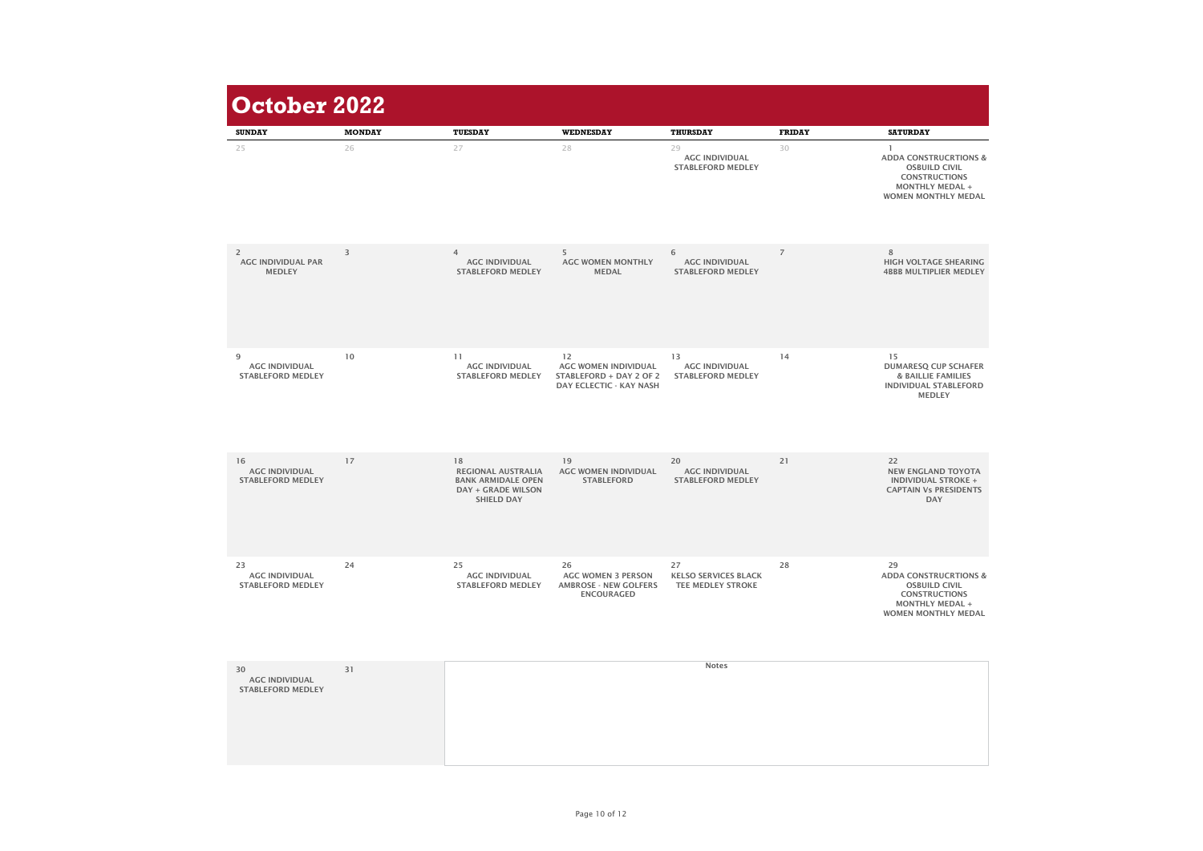| <b>SUNDAY</b>                                                | <b>MONDAY</b> | <b>TUESDAY</b>                                                                                                 | <b>WEDNESDAY</b>                                                                                      | <b>THURSDAY</b>                                               | <b>FRIDAY</b>  | <b>SATURDAY</b>                                                                                                                                |
|--------------------------------------------------------------|---------------|----------------------------------------------------------------------------------------------------------------|-------------------------------------------------------------------------------------------------------|---------------------------------------------------------------|----------------|------------------------------------------------------------------------------------------------------------------------------------------------|
| 25                                                           | 26            | 27                                                                                                             | 28                                                                                                    | 29<br><b>AGC INDIVIDUAL</b><br><b>STABLEFORD MEDLEY</b>       | 30             | <b>ADDA CONSTRUCRTIONS &amp;</b><br><b>OSBUILD CIVIL</b><br><b>CONSTRUCTIONS</b><br><b>MONTHLY MEDAL +</b><br><b>WOMEN MONTHLY MEDAL</b>       |
| $\overline{2}$<br><b>AGC INDIVIDUAL PAR</b><br><b>MEDLEY</b> | 3             | 4<br><b>AGC INDIVIDUAL</b><br><b>STABLEFORD MEDLEY</b>                                                         | 5<br><b>AGC WOMEN MONTHLY</b><br><b>MEDAL</b>                                                         | 6<br><b>AGC INDIVIDUAL</b><br><b>STABLEFORD MEDLEY</b>        | $\overline{7}$ | 8<br><b>HIGH VOLTAGE SHEARING</b><br><b>4BBB MULTIPLIER MEDLEY</b>                                                                             |
| 9<br><b>AGC INDIVIDUAL</b><br><b>STABLEFORD MEDLEY</b>       | 10            | 11<br><b>AGC INDIVIDUAL</b><br><b>STABLEFORD MEDLEY</b>                                                        | 12<br><b>AGC WOMEN INDIVIDUAL</b><br><b>STABLEFORD + DAY 2 OF 2</b><br><b>DAY ECLECTIC - KAY NASH</b> | 13<br><b>AGC INDIVIDUAL</b><br><b>STABLEFORD MEDLEY</b>       | 14             | 15<br><b>DUMARESQ CUP SCHAFER</b><br><b>&amp; BAILLIE FAMILIES</b><br><b>INDIVIDUAL STABLEFORD</b><br><b>MEDLEY</b>                            |
| 16<br><b>AGC INDIVIDUAL</b><br><b>STABLEFORD MEDLEY</b>      | 17            | 18<br><b>REGIONAL AUSTRALIA</b><br><b>BANK ARMIDALE OPEN</b><br><b>DAY + GRADE WILSON</b><br><b>SHIELD DAY</b> | 19<br><b>AGC WOMEN INDIVIDUAL</b><br><b>STABLEFORD</b>                                                | 20<br><b>AGC INDIVIDUAL</b><br><b>STABLEFORD MEDLEY</b>       | 21             | 22<br><b>NEW ENGLAND TOYOTA</b><br><b>INDIVIDUAL STROKE +</b><br><b>CAPTAIN Vs PRESIDENTS</b><br><b>DAY</b>                                    |
| 23<br><b>AGC INDIVIDUAL</b><br><b>STABLEFORD MEDLEY</b>      | 24            | 25<br><b>AGC INDIVIDUAL</b><br><b>STABLEFORD MEDLEY</b>                                                        | 26<br><b>AGC WOMEN 3 PERSON</b><br><b>AMBROSE - NEW GOLFERS</b><br><b>ENCOURAGED</b>                  | 27<br><b>KELSO SERVICES BLACK</b><br><b>TEE MEDLEY STROKE</b> | 28             | 29<br><b>ADDA CONSTRUCRTIONS &amp;</b><br><b>OSBUILD CIVIL</b><br><b>CONSTRUCTIONS</b><br><b>MONTHLY MEDAL +</b><br><b>WOMEN MONTHLY MEDAL</b> |
| 30<br><b>AGC INDIVIDUAL</b><br><b>STABLEFORD MEDLEY</b>      | 31            |                                                                                                                |                                                                                                       | <b>Notes</b>                                                  |                |                                                                                                                                                |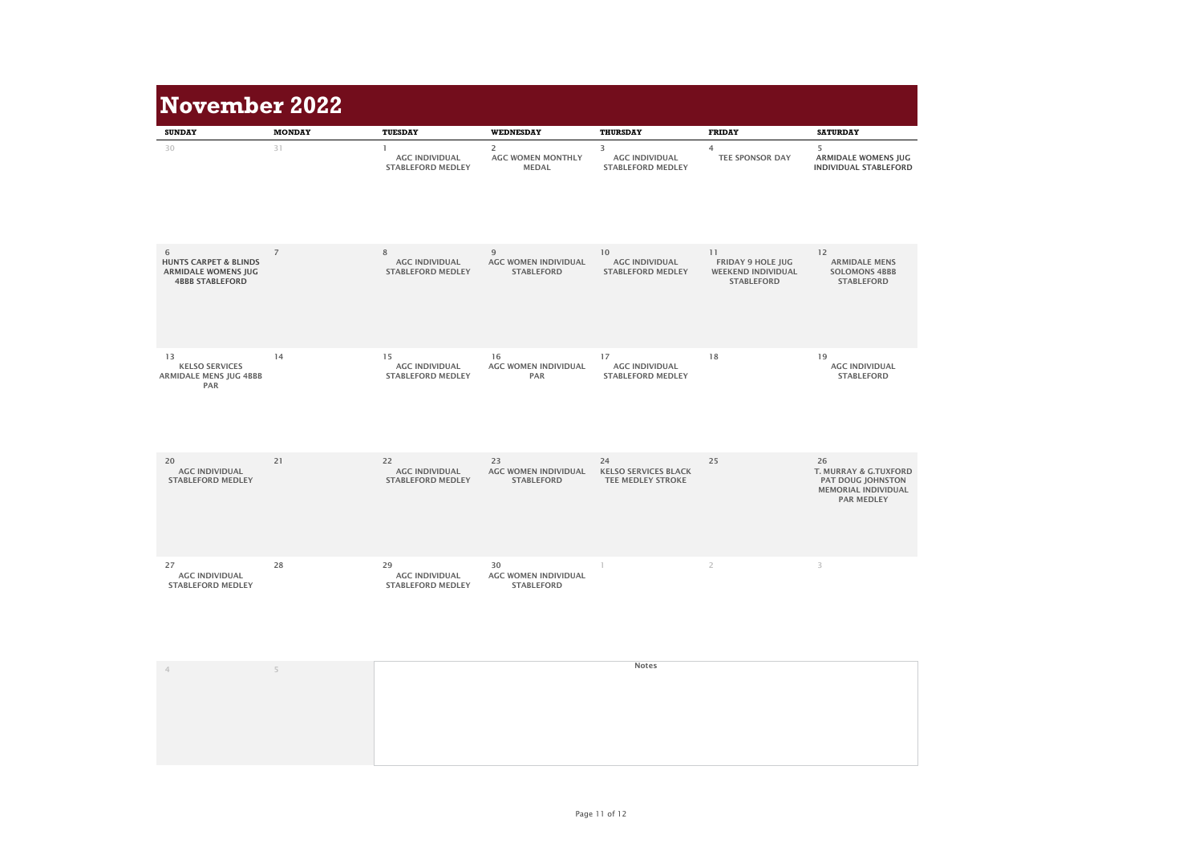| <b>November 2022</b>                                                                          |                |                                                         |                                                            |                                                               |                                                                                  |                                                                                                                |
|-----------------------------------------------------------------------------------------------|----------------|---------------------------------------------------------|------------------------------------------------------------|---------------------------------------------------------------|----------------------------------------------------------------------------------|----------------------------------------------------------------------------------------------------------------|
| <b>SUNDAY</b>                                                                                 | <b>MONDAY</b>  | <b>TUESDAY</b>                                          | <b>WEDNESDAY</b>                                           | <b>THURSDAY</b>                                               | <b>FRIDAY</b>                                                                    | <b>SATURDAY</b>                                                                                                |
| 30                                                                                            | 31             | <b>AGC INDIVIDUAL</b><br><b>STABLEFORD MEDLEY</b>       | $\overline{2}$<br><b>AGC WOMEN MONTHLY</b><br><b>MEDAL</b> | 3<br><b>AGC INDIVIDUAL</b><br><b>STABLEFORD MEDLEY</b>        | $\overline{4}$<br><b>TEE SPONSOR DAY</b>                                         | 5<br><b>ARMIDALE WOMENS JUG</b><br><b>INDIVIDUAL STABLEFORD</b>                                                |
| 6<br><b>HUNTS CARPET &amp; BLINDS</b><br><b>ARMIDALE WOMENS JUG</b><br><b>4BBB STABLEFORD</b> | $\overline{7}$ | 8<br><b>AGC INDIVIDUAL</b><br><b>STABLEFORD MEDLEY</b>  | 9<br><b>AGC WOMEN INDIVIDUAL</b><br><b>STABLEFORD</b>      | 10<br><b>AGC INDIVIDUAL</b><br><b>STABLEFORD MEDLEY</b>       | 11<br><b>FRIDAY 9 HOLE JUG</b><br><b>WEEKEND INDIVIDUAL</b><br><b>STABLEFORD</b> | 12<br><b>ARMIDALE MENS</b><br><b>SOLOMONS 4BBB</b><br><b>STABLEFORD</b>                                        |
| 13<br><b>KELSO SERVICES</b><br><b>ARMIDALE MENS JUG 4BBB</b><br><b>PAR</b>                    | 14             | 15<br><b>AGC INDIVIDUAL</b><br><b>STABLEFORD MEDLEY</b> | 16<br><b>AGC WOMEN INDIVIDUAL</b><br><b>PAR</b>            | 17<br><b>AGC INDIVIDUAL</b><br><b>STABLEFORD MEDLEY</b>       | 18                                                                               | 19<br><b>AGC INDIVIDUAL</b><br><b>STABLEFORD</b>                                                               |
| 20<br><b>AGC INDIVIDUAL</b><br><b>STABLEFORD MEDLEY</b>                                       | 21             | 22<br><b>AGC INDIVIDUAL</b><br><b>STABLEFORD MEDLEY</b> | 23<br><b>AGC WOMEN INDIVIDUAL</b><br><b>STABLEFORD</b>     | 24<br><b>KELSO SERVICES BLACK</b><br><b>TEE MEDLEY STROKE</b> | 25                                                                               | 26<br><b>T. MURRAY &amp; G.TUXFORD</b><br>PAT DOUG JOHNSTON<br><b>MEMORIAL INDIVIDUAL</b><br><b>PAR MEDLEY</b> |
| 27<br><b>AGC INDIVIDUAL</b><br><b>STABLEFORD MEDLEY</b>                                       | 28             | 29<br><b>AGC INDIVIDUAL</b><br><b>STABLEFORD MEDLEY</b> | 30<br><b>AGC WOMEN INDIVIDUAL</b><br><b>STABLEFORD</b>     |                                                               | $\overline{2}$                                                                   | 3                                                                                                              |
|                                                                                               | 5              |                                                         |                                                            | <b>Notes</b>                                                  |                                                                                  |                                                                                                                |

| <b>November 2022</b>                                                                          |                     |                                                                     |                                                                                |                                                                           |                                                                                  |                                                                                                                |
|-----------------------------------------------------------------------------------------------|---------------------|---------------------------------------------------------------------|--------------------------------------------------------------------------------|---------------------------------------------------------------------------|----------------------------------------------------------------------------------|----------------------------------------------------------------------------------------------------------------|
| <b>SUNDAY</b><br>30                                                                           | <b>MONDAY</b><br>31 | <b>TUESDAY</b><br><b>AGC INDIVIDUAL</b><br><b>STABLEFORD MEDLEY</b> | <b>WEDNESDAY</b><br>$\overline{2}$<br><b>AGC WOMEN MONTHLY</b><br><b>MEDAL</b> | <b>THURSDAY</b><br>3<br><b>AGC INDIVIDUAL</b><br><b>STABLEFORD MEDLEY</b> | <b>FRIDAY</b><br>$\overline{4}$<br><b>TEE SPONSOR DAY</b>                        | <b>SATURDAY</b><br>5<br><b>ARMIDALE WOMENS JUG</b><br><b>INDIVIDUAL STABLEFORD</b>                             |
| 6<br><b>HUNTS CARPET &amp; BLINDS</b><br><b>ARMIDALE WOMENS JUG</b><br><b>4BBB STABLEFORD</b> | $\overline{7}$      | $8\phantom{1}$<br><b>AGC INDIVIDUAL</b><br><b>STABLEFORD MEDLEY</b> | 9<br><b>AGC WOMEN INDIVIDUAL</b><br><b>STABLEFORD</b>                          | 10<br><b>AGC INDIVIDUAL</b><br><b>STABLEFORD MEDLEY</b>                   | 11<br><b>FRIDAY 9 HOLE JUG</b><br><b>WEEKEND INDIVIDUAL</b><br><b>STABLEFORD</b> | 12<br><b>ARMIDALE MENS</b><br><b>SOLOMONS 4BBB</b><br><b>STABLEFORD</b>                                        |
| 13<br><b>KELSO SERVICES</b><br><b>ARMIDALE MENS JUG 4BBB</b><br><b>PAR</b>                    | 14                  | 15<br><b>AGC INDIVIDUAL</b><br><b>STABLEFORD MEDLEY</b>             | 16<br><b>AGC WOMEN INDIVIDUAL</b><br><b>PAR</b>                                | 17<br><b>AGC INDIVIDUAL</b><br><b>STABLEFORD MEDLEY</b>                   | 18                                                                               | 19<br><b>AGC INDIVIDUAL</b><br><b>STABLEFORD</b>                                                               |
| 20<br><b>AGC INDIVIDUAL</b><br><b>STABLEFORD MEDLEY</b>                                       | 21                  | 22<br><b>AGC INDIVIDUAL</b><br><b>STABLEFORD MEDLEY</b>             | 23<br><b>AGC WOMEN INDIVIDUAL</b><br><b>STABLEFORD</b>                         | 24<br><b>KELSO SERVICES BLACK</b><br><b>TEE MEDLEY STROKE</b>             | 25                                                                               | 26<br><b>T. MURRAY &amp; G.TUXFORD</b><br>PAT DOUG JOHNSTON<br><b>MEMORIAL INDIVIDUAL</b><br><b>PAR MEDLEY</b> |
| 27<br><b>AGC INDIVIDUAL</b><br><b>STABLEFORD MEDLEY</b>                                       | 28                  | 29<br><b>AGC INDIVIDUAL</b><br><b>STABLEFORD MEDLEY</b>             | 30<br><b>AGC WOMEN INDIVIDUAL</b><br><b>STABLEFORD</b>                         |                                                                           | $\overline{2}$                                                                   | 3                                                                                                              |
|                                                                                               | 5                   |                                                                     |                                                                                | <b>Notes</b>                                                              |                                                                                  |                                                                                                                |